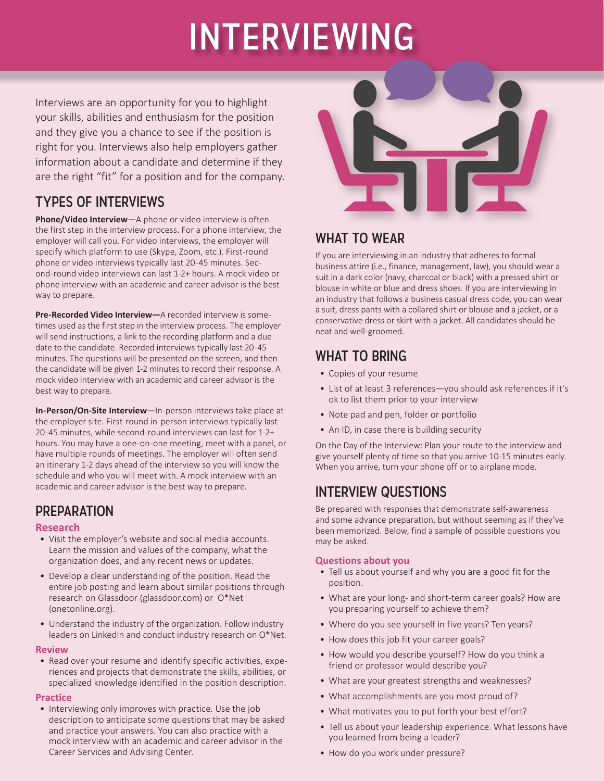# INTERVIEWING

Interviews are an opportunity for you to highlight your skills, abilities and enthusiasm for the position and they give you a chance to see if the position is right for you. Interviews also help employers gather information about a candidate and determine if they are the right "fit" for a position and for the company.

# TYPES OF INTERVIEWS

**Phone/Video Interview**—A phone or video interview is often the first step in the interview process. For a phone interview, the employer will call you. For video interviews, the employer will specify which platform to use (Skype, Zoom, etc.). First-round phone or video interviews typically last 20-45 minutes. Second-round video interviews can last 1-2+ hours. A mock video or phone interview with an academic and career advisor is the best way to prepare.

**Pre-Recorded Video Interview—**A recorded interview is sometimes used as the first step in the interview process. The employer will send instructions, a link to the recording platform and a due date to the candidate. Recorded interviews typically last 20-45 minutes. The questions will be presented on the screen, and then the candidate will be given 1-2 minutes to record their response. A mock video interview with an academic and career advisor is the best way to prepare.

**In-Person/On-Site Interview**—In-person interviews take place at the employer site. First-round in-person interviews typically last 20-45 minutes, while second-round interviews can last for 1-2+ hours. You may have a one-on-one meeting, meet with a panel, or have multiple rounds of meetings. The employer will often send an itinerary 1-2 days ahead of the interview so you will know the schedule and who you will meet with. A mock interview with an academic and career advisor is the best way to prepare.

# **PREPARATION**

#### **Research**

- Visit the employer's website and social media accounts. Learn the mission and values of the company, what the organization does, and any recent news or updates.
- Develop a clear understanding of the position. Read the entire job posting and learn about similar positions through research on Glassdoor (glassdoor.com) or O\*Net (onetonline.org).
- Understand the industry of the organization. Follow industry leaders on LinkedIn and conduct industry research on O\*Net.

#### **Review**

• Read over your resume and identify specific activities, experiences and projects that demonstrate the skills, abilities, or specialized knowledge identified in the position description.

#### **Practice**

• Interviewing only improves with practice. Use the job description to anticipate some questions that may be asked and practice your answers. You can also practice with a mock interview with an academic and career advisor in the Career Services and Advising Center.



## WHAT TO WEAR

If you are interviewing in an industry that adheres to formal business attire (i.e., finance, management, law), you should wear a suit in a dark color (navy, charcoal or black) with a pressed shirt or blouse in white or blue and dress shoes. If you are interviewing in an industry that follows a business casual dress code, you can wear a suit, dress pants with a collared shirt or blouse and a jacket, or a conservative dress or skirt with a jacket. All candidates should be neat and well-groomed.

## WHAT TO BRING

- Copies of your resume
- List of at least 3 references—you should ask references if it's ok to list them prior to your interview
- Note pad and pen, folder or portfolio
- An ID, in case there is building security

On the Day of the Interview: Plan your route to the interview and give yourself plenty of time so that you arrive 10-15 minutes early. When you arrive, turn your phone off or to airplane mode.

# INTERVIEW QUESTIONS

Be prepared with responses that demonstrate self-awareness and some advance preparation, but without seeming as if they've been memorized. Below, find a sample of possible questions you may be asked.

#### **Questions about you**

- Tell us about yourself and why you are a good fit for the position.
- What are your long- and short-term career goals? How are you preparing yourself to achieve them?
- Where do you see yourself in five years? Ten years?
- How does this job fit your career goals?
- How would you describe yourself? How do you think a friend or professor would describe you?
- What are your greatest strengths and weaknesses?
- What accomplishments are you most proud of?
- What motivates you to put forth your best effort?
- you learned from being a leader?<br> **WALK-IN HOWER-IN HOURS** (According to the state of the state of the state of the state of the state of the sta • Tell us about your leadership experience. What lessons have
- $\bullet$  How do you • How do you work under pressure?